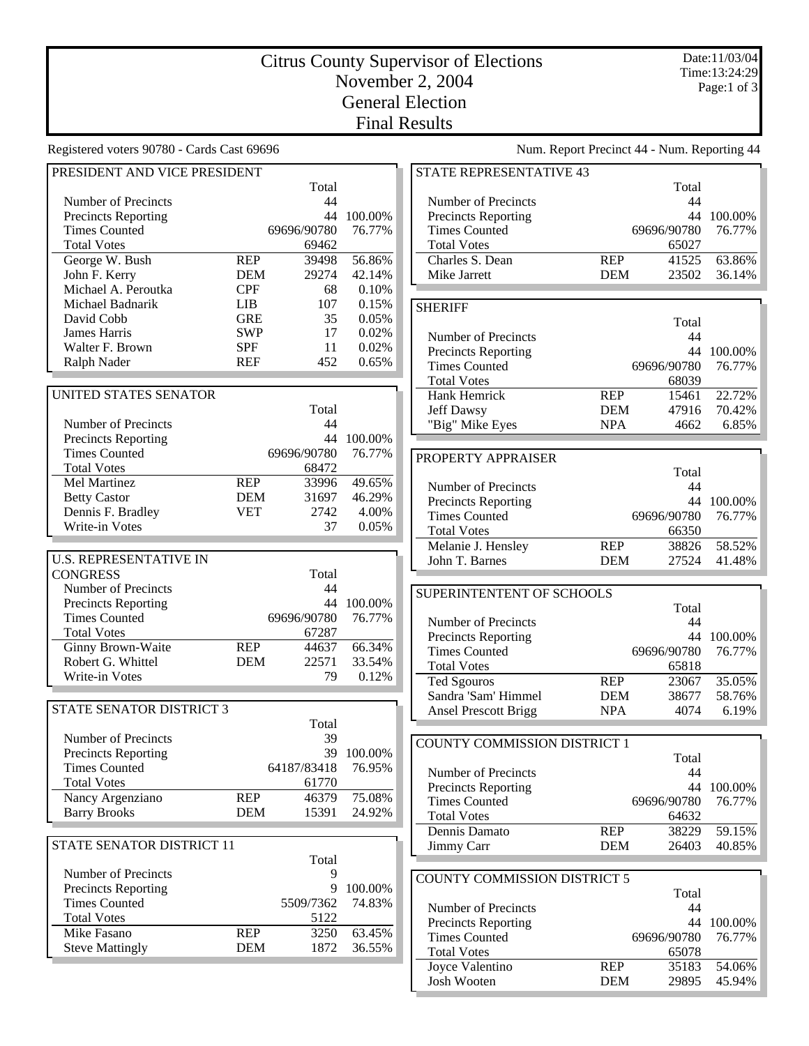## Citrus County Supervisor of Elections November 2, 2004 General Election Final Results

Registered voters 90780 - Cards Cast 69696 Num. Report Precinct 44 - Num. Reporting 44 PRESIDENT AND VICE PRESIDENT Total Number of Precincts<br>
Precincts Reporting<br>
44 100.00% Precincts Reporting Times Counted 69696/90780 76.77% Total Votes 69462 George W. Bush REP 39498 56.86% John F. Kerry DEM 29274 42.14% Michael A. Peroutka CPF 68 0.10%<br>
Michael Badnarik LIB 107 0.15% Michael Badnarik LIB 107 David Cobb GRE 35 0.05% James Harris SWP 17 0.02% Walter F. Brown SPF 11 0.02% Ralph Nader REF 452 0.65% UNITED STATES SENATOR Total Number of Precincts<br>
Precincts Reporting<br>  $44$  100.00% Precincts Reporting Times Counted 69696/90780 76.77% Total Votes 68472 Mel Martinez REP 33996 49.65% Betty Castor **DEM** 31697 46.29% Dennis F. Bradley VET 2742 4.00% Write-in Votes 37 0.05% U.S. REPRESENTATIVE IN CONGRESS Total Number of Precincts<br>
Precincts Reporting<br>  $44$  100.00% Precincts Reporting  $44 \t100.00\%$ <br>Times Counted  $69696/90780 \t76.77\%$ Times Counted Total Votes 67287<br>
Ginny Brown-Waite REP 44637 Ginny Brown-Waite REP 44637 66.34% Robert G. Whittel **DEM** 22571 33.54% Write-in Votes 79 0.12% STATE SENATOR DISTRICT 3 Total Number of Precincts 39 Precincts Reporting 39 100.00% Times Counted 64187/83418 76.95% Total Votes 61770 Nancy Argenziano REP 46379 75.08% Barry Brooks DEM 15391 24.92% STATE SENATOR DISTRICT 11 Total Number of Precincts 9 Precincts Reporting 9 100.00% Times Counted 5509/7362 74.83% Total Votes 5122 Mike Fasano **REP** 3250 63.45%<br>Steve Mattingly **DEM** 1872 36.55% Steve Mattingly DEM 1872 **SHERIFF** PROPERTY APPRAISER Number of Precincts 44

| <b>STATE REPRESENTATIVE 43</b> |            |             |         |
|--------------------------------|------------|-------------|---------|
|                                |            | Total       |         |
| Number of Precincts            |            | 44          |         |
| <b>Precincts Reporting</b>     |            | 44          | 100.00% |
| <b>Times Counted</b>           |            | 69696/90780 | 76.77%  |
| <b>Total Votes</b>             |            | 65027       |         |
| Charles S. Dean                | <b>REP</b> | 41525       | 63.86%  |
| Mike Jarrett                   | <b>DEM</b> | 23502       | 36.14%  |
|                                |            |             |         |

|                            |                       | Total |         |
|----------------------------|-----------------------|-------|---------|
| Number of Precincts        |                       | 44    |         |
| <b>Precincts Reporting</b> |                       | 44    | 100.00% |
| <b>Times Counted</b>       | 76.77%<br>69696/90780 |       |         |
| <b>Total Votes</b>         |                       | 68039 |         |
| Hank Hemrick               | <b>REP</b>            | 15461 | 22.72%  |
| Jeff Dawsy                 | <b>DEM</b>            | 47916 | 70.42%  |
| "Big" Mike Eyes            | <b>NPA</b>            |       | 6.85%   |

|                            |            | Total              |            |
|----------------------------|------------|--------------------|------------|
| Number of Precincts        |            | 44                 |            |
| <b>Precincts Reporting</b> |            |                    | 44 100.00% |
| <b>Times Counted</b>       |            | 69696/90780 76.77% |            |
| <b>Total Votes</b>         |            | 66350              |            |
| Melanie J. Hensley         | <b>REP</b> | 38826              | 58.52%     |
| John T. Barnes             | <b>DEM</b> | 27524              | 41.48%     |

## SUPERINTENTENT OF SCHOOLS

|                             |            | Total                 |         |  |
|-----------------------------|------------|-----------------------|---------|--|
| Number of Precincts         |            | 44                    |         |  |
| <b>Precincts Reporting</b>  |            | 44                    | 100.00% |  |
| <b>Times Counted</b>        |            | 69696/90780<br>76.77% |         |  |
| <b>Total Votes</b>          |            | 65818                 |         |  |
| <b>Ted Sgouros</b>          | <b>REP</b> | 23067                 | 35.05%  |  |
| Sandra 'Sam' Himmel         | <b>DEM</b> | 38677                 | 58.76%  |  |
| <b>Ansel Prescott Brigg</b> | <b>NPA</b> | 4074                  | 6.19%   |  |

## COUNTY COMMISSION DISTRICT 1 Total<br>44 Precincts Reporting 44 100.00% Times Counted 69696/90780 76.77% Total Votes 64632 Dennis Damato REP 38229 59.15% Jimmy Carr DEM 26403 40.85%

| COUNTY COMMISSION DISTRICT 5 |            |             |            |  |
|------------------------------|------------|-------------|------------|--|
|                              |            | Total       |            |  |
| Number of Precincts          |            | 44          |            |  |
| <b>Precincts Reporting</b>   |            |             | 44 100,00% |  |
| <b>Times Counted</b>         |            | 69696/90780 | 76.77%     |  |
| <b>Total Votes</b>           |            | 65078       |            |  |
| Joyce Valentino              | <b>REP</b> | 35183       | 54.06%     |  |
| Josh Wooten                  | <b>DEM</b> | 29895       | 45.94%     |  |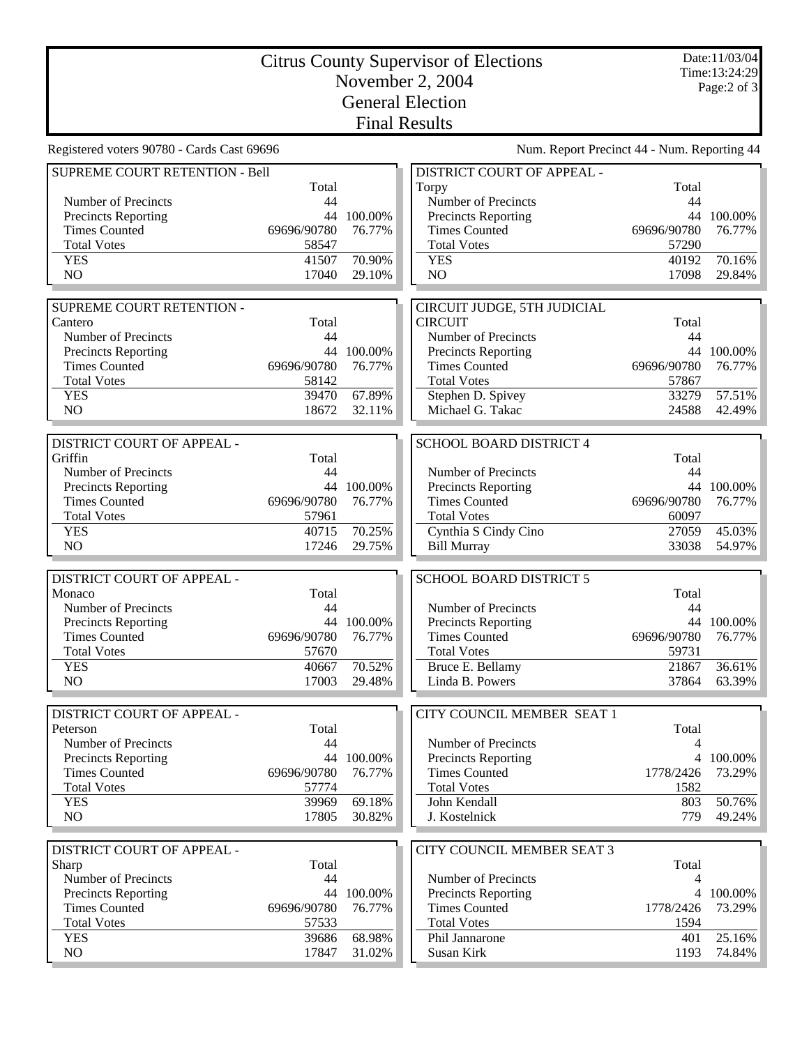| Date:11/03/04<br><b>Citrus County Supervisor of Elections</b><br>Time: 13:24:29<br>November 2, 2004<br>Page: $2$ of $3$<br><b>General Election</b><br><b>Final Results</b><br>Num. Report Precinct 44 - Num. Reporting 44<br>DISTRICT COURT OF APPEAL -<br>SUPREME COURT RETENTION - Bell<br>Total<br>Total<br>Torpy<br>44<br>Number of Precincts<br>44<br>Number of Precincts<br>Precincts Reporting<br>44 100.00%<br>Precincts Reporting<br>44 100.00%<br><b>Times Counted</b><br>69696/90780<br>76.77%<br><b>Times Counted</b><br>69696/90780<br>76.77%<br><b>Total Votes</b><br>58547<br><b>Total Votes</b><br>57290<br><b>YES</b><br>41507<br>70.90%<br><b>YES</b><br>70.16%<br>40192<br>NO<br>17040<br>29.10%<br>N <sub>O</sub><br>17098<br>29.84%<br>SUPREME COURT RETENTION -<br>CIRCUIT JUDGE, 5TH JUDICIAL<br><b>CIRCUIT</b><br>Cantero<br>Total<br>Total<br>Number of Precincts<br>44<br>Number of Precincts<br>44<br>44 100.00%<br>44 100.00%<br>Precincts Reporting<br>Precincts Reporting<br>69696/90780<br><b>Times Counted</b><br>76.77%<br><b>Times Counted</b><br>69696/90780<br>76.77%<br><b>Total Votes</b><br>58142<br><b>Total Votes</b><br>57867<br>67.89%<br>57.51%<br><b>YES</b><br>39470<br>Stephen D. Spivey<br>33279<br>N <sub>O</sub><br>18672<br>Michael G. Takac<br>42.49%<br>32.11%<br>24588<br>DISTRICT COURT OF APPEAL -<br><b>SCHOOL BOARD DISTRICT 4</b><br>Griffin<br>Total<br>Total<br>Number of Precincts<br>44<br>Number of Precincts<br>44<br>44 100.00%<br>44 100.00%<br>Precincts Reporting<br>Precincts Reporting<br><b>Times Counted</b><br>69696/90780<br>76.77%<br><b>Times Counted</b><br>69696/90780<br>76.77%<br><b>Total Votes</b><br><b>Total Votes</b><br>57961<br>60097<br>40715<br>70.25%<br>Cynthia S Cindy Cino<br><b>YES</b><br>27059<br>45.03%<br>N <sub>O</sub><br>54.97%<br>17246<br>29.75%<br><b>Bill Murray</b><br>33038<br>DISTRICT COURT OF APPEAL -<br><b>SCHOOL BOARD DISTRICT 5</b><br>Total<br>Total<br>Monaco<br>44<br>Number of Precincts<br>44<br>Number of Precincts<br>44 100.00%<br><b>Precincts Reporting</b><br>Precincts Reporting<br>44 100.00%<br>69696/90780<br>69696/90780<br><b>Times Counted</b><br>76.77%<br><b>Times Counted</b><br>76.77%<br><b>Total Votes</b><br>57670<br><b>Total Votes</b><br>59731<br><b>YES</b><br>70.52%<br>Bruce E. Bellamy<br>21867<br>36.61%<br>40667<br>NO<br>Linda B. Powers<br>63.39%<br>17003<br>29.48%<br>37864<br>DISTRICT COURT OF APPEAL -<br>CITY COUNCIL MEMBER SEAT 1<br>Peterson<br>Total<br>Total<br>Number of Precincts<br>44<br>Number of Precincts<br>4<br>44 100.00%<br>Precincts Reporting<br><b>Precincts Reporting</b><br>100.00%<br>4<br><b>Times Counted</b><br>69696/90780<br><b>Times Counted</b><br>1778/2426<br>73.29%<br>76.77%<br><b>Total Votes</b><br>57774<br><b>Total Votes</b><br>1582<br><b>YES</b><br>69.18%<br>50.76%<br>39969<br>John Kendall<br>803<br>NO<br>17805<br>30.82%<br>779<br>49.24%<br>J. Kostelnick<br>CITY COUNCIL MEMBER SEAT 3<br>DISTRICT COURT OF APPEAL -<br>Total<br>Sharp<br>Total<br>Number of Precincts<br>Number of Precincts<br>44<br>4<br>Precincts Reporting<br>Precincts Reporting<br>44 100.00%<br>100.00%<br>4<br><b>Times Counted</b><br>69696/90780<br>76.77%<br><b>Times Counted</b><br>73.29%<br>1778/2426<br><b>Total Votes</b><br><b>Total Votes</b><br>57533<br>1594 |            |       |        |                |     |        |  |
|----------------------------------------------------------------------------------------------------------------------------------------------------------------------------------------------------------------------------------------------------------------------------------------------------------------------------------------------------------------------------------------------------------------------------------------------------------------------------------------------------------------------------------------------------------------------------------------------------------------------------------------------------------------------------------------------------------------------------------------------------------------------------------------------------------------------------------------------------------------------------------------------------------------------------------------------------------------------------------------------------------------------------------------------------------------------------------------------------------------------------------------------------------------------------------------------------------------------------------------------------------------------------------------------------------------------------------------------------------------------------------------------------------------------------------------------------------------------------------------------------------------------------------------------------------------------------------------------------------------------------------------------------------------------------------------------------------------------------------------------------------------------------------------------------------------------------------------------------------------------------------------------------------------------------------------------------------------------------------------------------------------------------------------------------------------------------------------------------------------------------------------------------------------------------------------------------------------------------------------------------------------------------------------------------------------------------------------------------------------------------------------------------------------------------------------------------------------------------------------------------------------------------------------------------------------------------------------------------------------------------------------------------------------------------------------------------------------------------------------------------------------------------------------------------------------------------------------------------------------------------------------------------------------------------------------------------------------------------------------------------------------------------------------------------------------------------------------------------------------------------------------------------------------------------------------------------------------------------------------------------------------------------------------------------------------------------------------------------------------|------------|-------|--------|----------------|-----|--------|--|
|                                                                                                                                                                                                                                                                                                                                                                                                                                                                                                                                                                                                                                                                                                                                                                                                                                                                                                                                                                                                                                                                                                                                                                                                                                                                                                                                                                                                                                                                                                                                                                                                                                                                                                                                                                                                                                                                                                                                                                                                                                                                                                                                                                                                                                                                                                                                                                                                                                                                                                                                                                                                                                                                                                                                                                                                                                                                                                                                                                                                                                                                                                                                                                                                                                                                                                                                                                |            |       |        |                |     |        |  |
|                                                                                                                                                                                                                                                                                                                                                                                                                                                                                                                                                                                                                                                                                                                                                                                                                                                                                                                                                                                                                                                                                                                                                                                                                                                                                                                                                                                                                                                                                                                                                                                                                                                                                                                                                                                                                                                                                                                                                                                                                                                                                                                                                                                                                                                                                                                                                                                                                                                                                                                                                                                                                                                                                                                                                                                                                                                                                                                                                                                                                                                                                                                                                                                                                                                                                                                                                                |            |       |        |                |     |        |  |
|                                                                                                                                                                                                                                                                                                                                                                                                                                                                                                                                                                                                                                                                                                                                                                                                                                                                                                                                                                                                                                                                                                                                                                                                                                                                                                                                                                                                                                                                                                                                                                                                                                                                                                                                                                                                                                                                                                                                                                                                                                                                                                                                                                                                                                                                                                                                                                                                                                                                                                                                                                                                                                                                                                                                                                                                                                                                                                                                                                                                                                                                                                                                                                                                                                                                                                                                                                |            |       |        |                |     |        |  |
|                                                                                                                                                                                                                                                                                                                                                                                                                                                                                                                                                                                                                                                                                                                                                                                                                                                                                                                                                                                                                                                                                                                                                                                                                                                                                                                                                                                                                                                                                                                                                                                                                                                                                                                                                                                                                                                                                                                                                                                                                                                                                                                                                                                                                                                                                                                                                                                                                                                                                                                                                                                                                                                                                                                                                                                                                                                                                                                                                                                                                                                                                                                                                                                                                                                                                                                                                                |            |       |        |                |     |        |  |
| Registered voters 90780 - Cards Cast 69696                                                                                                                                                                                                                                                                                                                                                                                                                                                                                                                                                                                                                                                                                                                                                                                                                                                                                                                                                                                                                                                                                                                                                                                                                                                                                                                                                                                                                                                                                                                                                                                                                                                                                                                                                                                                                                                                                                                                                                                                                                                                                                                                                                                                                                                                                                                                                                                                                                                                                                                                                                                                                                                                                                                                                                                                                                                                                                                                                                                                                                                                                                                                                                                                                                                                                                                     |            |       |        |                |     |        |  |
|                                                                                                                                                                                                                                                                                                                                                                                                                                                                                                                                                                                                                                                                                                                                                                                                                                                                                                                                                                                                                                                                                                                                                                                                                                                                                                                                                                                                                                                                                                                                                                                                                                                                                                                                                                                                                                                                                                                                                                                                                                                                                                                                                                                                                                                                                                                                                                                                                                                                                                                                                                                                                                                                                                                                                                                                                                                                                                                                                                                                                                                                                                                                                                                                                                                                                                                                                                |            |       |        |                |     |        |  |
|                                                                                                                                                                                                                                                                                                                                                                                                                                                                                                                                                                                                                                                                                                                                                                                                                                                                                                                                                                                                                                                                                                                                                                                                                                                                                                                                                                                                                                                                                                                                                                                                                                                                                                                                                                                                                                                                                                                                                                                                                                                                                                                                                                                                                                                                                                                                                                                                                                                                                                                                                                                                                                                                                                                                                                                                                                                                                                                                                                                                                                                                                                                                                                                                                                                                                                                                                                |            |       |        |                |     |        |  |
|                                                                                                                                                                                                                                                                                                                                                                                                                                                                                                                                                                                                                                                                                                                                                                                                                                                                                                                                                                                                                                                                                                                                                                                                                                                                                                                                                                                                                                                                                                                                                                                                                                                                                                                                                                                                                                                                                                                                                                                                                                                                                                                                                                                                                                                                                                                                                                                                                                                                                                                                                                                                                                                                                                                                                                                                                                                                                                                                                                                                                                                                                                                                                                                                                                                                                                                                                                |            |       |        |                |     |        |  |
|                                                                                                                                                                                                                                                                                                                                                                                                                                                                                                                                                                                                                                                                                                                                                                                                                                                                                                                                                                                                                                                                                                                                                                                                                                                                                                                                                                                                                                                                                                                                                                                                                                                                                                                                                                                                                                                                                                                                                                                                                                                                                                                                                                                                                                                                                                                                                                                                                                                                                                                                                                                                                                                                                                                                                                                                                                                                                                                                                                                                                                                                                                                                                                                                                                                                                                                                                                |            |       |        |                |     |        |  |
|                                                                                                                                                                                                                                                                                                                                                                                                                                                                                                                                                                                                                                                                                                                                                                                                                                                                                                                                                                                                                                                                                                                                                                                                                                                                                                                                                                                                                                                                                                                                                                                                                                                                                                                                                                                                                                                                                                                                                                                                                                                                                                                                                                                                                                                                                                                                                                                                                                                                                                                                                                                                                                                                                                                                                                                                                                                                                                                                                                                                                                                                                                                                                                                                                                                                                                                                                                |            |       |        |                |     |        |  |
|                                                                                                                                                                                                                                                                                                                                                                                                                                                                                                                                                                                                                                                                                                                                                                                                                                                                                                                                                                                                                                                                                                                                                                                                                                                                                                                                                                                                                                                                                                                                                                                                                                                                                                                                                                                                                                                                                                                                                                                                                                                                                                                                                                                                                                                                                                                                                                                                                                                                                                                                                                                                                                                                                                                                                                                                                                                                                                                                                                                                                                                                                                                                                                                                                                                                                                                                                                |            |       |        |                |     |        |  |
|                                                                                                                                                                                                                                                                                                                                                                                                                                                                                                                                                                                                                                                                                                                                                                                                                                                                                                                                                                                                                                                                                                                                                                                                                                                                                                                                                                                                                                                                                                                                                                                                                                                                                                                                                                                                                                                                                                                                                                                                                                                                                                                                                                                                                                                                                                                                                                                                                                                                                                                                                                                                                                                                                                                                                                                                                                                                                                                                                                                                                                                                                                                                                                                                                                                                                                                                                                |            |       |        |                |     |        |  |
|                                                                                                                                                                                                                                                                                                                                                                                                                                                                                                                                                                                                                                                                                                                                                                                                                                                                                                                                                                                                                                                                                                                                                                                                                                                                                                                                                                                                                                                                                                                                                                                                                                                                                                                                                                                                                                                                                                                                                                                                                                                                                                                                                                                                                                                                                                                                                                                                                                                                                                                                                                                                                                                                                                                                                                                                                                                                                                                                                                                                                                                                                                                                                                                                                                                                                                                                                                |            |       |        |                |     |        |  |
|                                                                                                                                                                                                                                                                                                                                                                                                                                                                                                                                                                                                                                                                                                                                                                                                                                                                                                                                                                                                                                                                                                                                                                                                                                                                                                                                                                                                                                                                                                                                                                                                                                                                                                                                                                                                                                                                                                                                                                                                                                                                                                                                                                                                                                                                                                                                                                                                                                                                                                                                                                                                                                                                                                                                                                                                                                                                                                                                                                                                                                                                                                                                                                                                                                                                                                                                                                |            |       |        |                |     |        |  |
|                                                                                                                                                                                                                                                                                                                                                                                                                                                                                                                                                                                                                                                                                                                                                                                                                                                                                                                                                                                                                                                                                                                                                                                                                                                                                                                                                                                                                                                                                                                                                                                                                                                                                                                                                                                                                                                                                                                                                                                                                                                                                                                                                                                                                                                                                                                                                                                                                                                                                                                                                                                                                                                                                                                                                                                                                                                                                                                                                                                                                                                                                                                                                                                                                                                                                                                                                                |            |       |        |                |     |        |  |
|                                                                                                                                                                                                                                                                                                                                                                                                                                                                                                                                                                                                                                                                                                                                                                                                                                                                                                                                                                                                                                                                                                                                                                                                                                                                                                                                                                                                                                                                                                                                                                                                                                                                                                                                                                                                                                                                                                                                                                                                                                                                                                                                                                                                                                                                                                                                                                                                                                                                                                                                                                                                                                                                                                                                                                                                                                                                                                                                                                                                                                                                                                                                                                                                                                                                                                                                                                |            |       |        |                |     |        |  |
|                                                                                                                                                                                                                                                                                                                                                                                                                                                                                                                                                                                                                                                                                                                                                                                                                                                                                                                                                                                                                                                                                                                                                                                                                                                                                                                                                                                                                                                                                                                                                                                                                                                                                                                                                                                                                                                                                                                                                                                                                                                                                                                                                                                                                                                                                                                                                                                                                                                                                                                                                                                                                                                                                                                                                                                                                                                                                                                                                                                                                                                                                                                                                                                                                                                                                                                                                                |            |       |        |                |     |        |  |
|                                                                                                                                                                                                                                                                                                                                                                                                                                                                                                                                                                                                                                                                                                                                                                                                                                                                                                                                                                                                                                                                                                                                                                                                                                                                                                                                                                                                                                                                                                                                                                                                                                                                                                                                                                                                                                                                                                                                                                                                                                                                                                                                                                                                                                                                                                                                                                                                                                                                                                                                                                                                                                                                                                                                                                                                                                                                                                                                                                                                                                                                                                                                                                                                                                                                                                                                                                |            |       |        |                |     |        |  |
|                                                                                                                                                                                                                                                                                                                                                                                                                                                                                                                                                                                                                                                                                                                                                                                                                                                                                                                                                                                                                                                                                                                                                                                                                                                                                                                                                                                                                                                                                                                                                                                                                                                                                                                                                                                                                                                                                                                                                                                                                                                                                                                                                                                                                                                                                                                                                                                                                                                                                                                                                                                                                                                                                                                                                                                                                                                                                                                                                                                                                                                                                                                                                                                                                                                                                                                                                                |            |       |        |                |     |        |  |
|                                                                                                                                                                                                                                                                                                                                                                                                                                                                                                                                                                                                                                                                                                                                                                                                                                                                                                                                                                                                                                                                                                                                                                                                                                                                                                                                                                                                                                                                                                                                                                                                                                                                                                                                                                                                                                                                                                                                                                                                                                                                                                                                                                                                                                                                                                                                                                                                                                                                                                                                                                                                                                                                                                                                                                                                                                                                                                                                                                                                                                                                                                                                                                                                                                                                                                                                                                |            |       |        |                |     |        |  |
|                                                                                                                                                                                                                                                                                                                                                                                                                                                                                                                                                                                                                                                                                                                                                                                                                                                                                                                                                                                                                                                                                                                                                                                                                                                                                                                                                                                                                                                                                                                                                                                                                                                                                                                                                                                                                                                                                                                                                                                                                                                                                                                                                                                                                                                                                                                                                                                                                                                                                                                                                                                                                                                                                                                                                                                                                                                                                                                                                                                                                                                                                                                                                                                                                                                                                                                                                                |            |       |        |                |     |        |  |
|                                                                                                                                                                                                                                                                                                                                                                                                                                                                                                                                                                                                                                                                                                                                                                                                                                                                                                                                                                                                                                                                                                                                                                                                                                                                                                                                                                                                                                                                                                                                                                                                                                                                                                                                                                                                                                                                                                                                                                                                                                                                                                                                                                                                                                                                                                                                                                                                                                                                                                                                                                                                                                                                                                                                                                                                                                                                                                                                                                                                                                                                                                                                                                                                                                                                                                                                                                |            |       |        |                |     |        |  |
|                                                                                                                                                                                                                                                                                                                                                                                                                                                                                                                                                                                                                                                                                                                                                                                                                                                                                                                                                                                                                                                                                                                                                                                                                                                                                                                                                                                                                                                                                                                                                                                                                                                                                                                                                                                                                                                                                                                                                                                                                                                                                                                                                                                                                                                                                                                                                                                                                                                                                                                                                                                                                                                                                                                                                                                                                                                                                                                                                                                                                                                                                                                                                                                                                                                                                                                                                                |            |       |        |                |     |        |  |
|                                                                                                                                                                                                                                                                                                                                                                                                                                                                                                                                                                                                                                                                                                                                                                                                                                                                                                                                                                                                                                                                                                                                                                                                                                                                                                                                                                                                                                                                                                                                                                                                                                                                                                                                                                                                                                                                                                                                                                                                                                                                                                                                                                                                                                                                                                                                                                                                                                                                                                                                                                                                                                                                                                                                                                                                                                                                                                                                                                                                                                                                                                                                                                                                                                                                                                                                                                |            |       |        |                |     |        |  |
|                                                                                                                                                                                                                                                                                                                                                                                                                                                                                                                                                                                                                                                                                                                                                                                                                                                                                                                                                                                                                                                                                                                                                                                                                                                                                                                                                                                                                                                                                                                                                                                                                                                                                                                                                                                                                                                                                                                                                                                                                                                                                                                                                                                                                                                                                                                                                                                                                                                                                                                                                                                                                                                                                                                                                                                                                                                                                                                                                                                                                                                                                                                                                                                                                                                                                                                                                                |            |       |        |                |     |        |  |
|                                                                                                                                                                                                                                                                                                                                                                                                                                                                                                                                                                                                                                                                                                                                                                                                                                                                                                                                                                                                                                                                                                                                                                                                                                                                                                                                                                                                                                                                                                                                                                                                                                                                                                                                                                                                                                                                                                                                                                                                                                                                                                                                                                                                                                                                                                                                                                                                                                                                                                                                                                                                                                                                                                                                                                                                                                                                                                                                                                                                                                                                                                                                                                                                                                                                                                                                                                |            |       |        |                |     |        |  |
|                                                                                                                                                                                                                                                                                                                                                                                                                                                                                                                                                                                                                                                                                                                                                                                                                                                                                                                                                                                                                                                                                                                                                                                                                                                                                                                                                                                                                                                                                                                                                                                                                                                                                                                                                                                                                                                                                                                                                                                                                                                                                                                                                                                                                                                                                                                                                                                                                                                                                                                                                                                                                                                                                                                                                                                                                                                                                                                                                                                                                                                                                                                                                                                                                                                                                                                                                                |            |       |        |                |     |        |  |
|                                                                                                                                                                                                                                                                                                                                                                                                                                                                                                                                                                                                                                                                                                                                                                                                                                                                                                                                                                                                                                                                                                                                                                                                                                                                                                                                                                                                                                                                                                                                                                                                                                                                                                                                                                                                                                                                                                                                                                                                                                                                                                                                                                                                                                                                                                                                                                                                                                                                                                                                                                                                                                                                                                                                                                                                                                                                                                                                                                                                                                                                                                                                                                                                                                                                                                                                                                |            |       |        |                |     |        |  |
|                                                                                                                                                                                                                                                                                                                                                                                                                                                                                                                                                                                                                                                                                                                                                                                                                                                                                                                                                                                                                                                                                                                                                                                                                                                                                                                                                                                                                                                                                                                                                                                                                                                                                                                                                                                                                                                                                                                                                                                                                                                                                                                                                                                                                                                                                                                                                                                                                                                                                                                                                                                                                                                                                                                                                                                                                                                                                                                                                                                                                                                                                                                                                                                                                                                                                                                                                                |            |       |        |                |     |        |  |
|                                                                                                                                                                                                                                                                                                                                                                                                                                                                                                                                                                                                                                                                                                                                                                                                                                                                                                                                                                                                                                                                                                                                                                                                                                                                                                                                                                                                                                                                                                                                                                                                                                                                                                                                                                                                                                                                                                                                                                                                                                                                                                                                                                                                                                                                                                                                                                                                                                                                                                                                                                                                                                                                                                                                                                                                                                                                                                                                                                                                                                                                                                                                                                                                                                                                                                                                                                |            |       |        |                |     |        |  |
|                                                                                                                                                                                                                                                                                                                                                                                                                                                                                                                                                                                                                                                                                                                                                                                                                                                                                                                                                                                                                                                                                                                                                                                                                                                                                                                                                                                                                                                                                                                                                                                                                                                                                                                                                                                                                                                                                                                                                                                                                                                                                                                                                                                                                                                                                                                                                                                                                                                                                                                                                                                                                                                                                                                                                                                                                                                                                                                                                                                                                                                                                                                                                                                                                                                                                                                                                                |            |       |        |                |     |        |  |
|                                                                                                                                                                                                                                                                                                                                                                                                                                                                                                                                                                                                                                                                                                                                                                                                                                                                                                                                                                                                                                                                                                                                                                                                                                                                                                                                                                                                                                                                                                                                                                                                                                                                                                                                                                                                                                                                                                                                                                                                                                                                                                                                                                                                                                                                                                                                                                                                                                                                                                                                                                                                                                                                                                                                                                                                                                                                                                                                                                                                                                                                                                                                                                                                                                                                                                                                                                |            |       |        |                |     |        |  |
|                                                                                                                                                                                                                                                                                                                                                                                                                                                                                                                                                                                                                                                                                                                                                                                                                                                                                                                                                                                                                                                                                                                                                                                                                                                                                                                                                                                                                                                                                                                                                                                                                                                                                                                                                                                                                                                                                                                                                                                                                                                                                                                                                                                                                                                                                                                                                                                                                                                                                                                                                                                                                                                                                                                                                                                                                                                                                                                                                                                                                                                                                                                                                                                                                                                                                                                                                                |            |       |        |                |     |        |  |
|                                                                                                                                                                                                                                                                                                                                                                                                                                                                                                                                                                                                                                                                                                                                                                                                                                                                                                                                                                                                                                                                                                                                                                                                                                                                                                                                                                                                                                                                                                                                                                                                                                                                                                                                                                                                                                                                                                                                                                                                                                                                                                                                                                                                                                                                                                                                                                                                                                                                                                                                                                                                                                                                                                                                                                                                                                                                                                                                                                                                                                                                                                                                                                                                                                                                                                                                                                |            |       |        |                |     |        |  |
|                                                                                                                                                                                                                                                                                                                                                                                                                                                                                                                                                                                                                                                                                                                                                                                                                                                                                                                                                                                                                                                                                                                                                                                                                                                                                                                                                                                                                                                                                                                                                                                                                                                                                                                                                                                                                                                                                                                                                                                                                                                                                                                                                                                                                                                                                                                                                                                                                                                                                                                                                                                                                                                                                                                                                                                                                                                                                                                                                                                                                                                                                                                                                                                                                                                                                                                                                                |            |       |        |                |     |        |  |
|                                                                                                                                                                                                                                                                                                                                                                                                                                                                                                                                                                                                                                                                                                                                                                                                                                                                                                                                                                                                                                                                                                                                                                                                                                                                                                                                                                                                                                                                                                                                                                                                                                                                                                                                                                                                                                                                                                                                                                                                                                                                                                                                                                                                                                                                                                                                                                                                                                                                                                                                                                                                                                                                                                                                                                                                                                                                                                                                                                                                                                                                                                                                                                                                                                                                                                                                                                |            |       |        |                |     |        |  |
|                                                                                                                                                                                                                                                                                                                                                                                                                                                                                                                                                                                                                                                                                                                                                                                                                                                                                                                                                                                                                                                                                                                                                                                                                                                                                                                                                                                                                                                                                                                                                                                                                                                                                                                                                                                                                                                                                                                                                                                                                                                                                                                                                                                                                                                                                                                                                                                                                                                                                                                                                                                                                                                                                                                                                                                                                                                                                                                                                                                                                                                                                                                                                                                                                                                                                                                                                                |            |       |        |                |     |        |  |
|                                                                                                                                                                                                                                                                                                                                                                                                                                                                                                                                                                                                                                                                                                                                                                                                                                                                                                                                                                                                                                                                                                                                                                                                                                                                                                                                                                                                                                                                                                                                                                                                                                                                                                                                                                                                                                                                                                                                                                                                                                                                                                                                                                                                                                                                                                                                                                                                                                                                                                                                                                                                                                                                                                                                                                                                                                                                                                                                                                                                                                                                                                                                                                                                                                                                                                                                                                |            |       |        |                |     |        |  |
|                                                                                                                                                                                                                                                                                                                                                                                                                                                                                                                                                                                                                                                                                                                                                                                                                                                                                                                                                                                                                                                                                                                                                                                                                                                                                                                                                                                                                                                                                                                                                                                                                                                                                                                                                                                                                                                                                                                                                                                                                                                                                                                                                                                                                                                                                                                                                                                                                                                                                                                                                                                                                                                                                                                                                                                                                                                                                                                                                                                                                                                                                                                                                                                                                                                                                                                                                                |            |       |        |                |     |        |  |
|                                                                                                                                                                                                                                                                                                                                                                                                                                                                                                                                                                                                                                                                                                                                                                                                                                                                                                                                                                                                                                                                                                                                                                                                                                                                                                                                                                                                                                                                                                                                                                                                                                                                                                                                                                                                                                                                                                                                                                                                                                                                                                                                                                                                                                                                                                                                                                                                                                                                                                                                                                                                                                                                                                                                                                                                                                                                                                                                                                                                                                                                                                                                                                                                                                                                                                                                                                |            |       |        |                |     |        |  |
|                                                                                                                                                                                                                                                                                                                                                                                                                                                                                                                                                                                                                                                                                                                                                                                                                                                                                                                                                                                                                                                                                                                                                                                                                                                                                                                                                                                                                                                                                                                                                                                                                                                                                                                                                                                                                                                                                                                                                                                                                                                                                                                                                                                                                                                                                                                                                                                                                                                                                                                                                                                                                                                                                                                                                                                                                                                                                                                                                                                                                                                                                                                                                                                                                                                                                                                                                                |            |       |        |                |     |        |  |
|                                                                                                                                                                                                                                                                                                                                                                                                                                                                                                                                                                                                                                                                                                                                                                                                                                                                                                                                                                                                                                                                                                                                                                                                                                                                                                                                                                                                                                                                                                                                                                                                                                                                                                                                                                                                                                                                                                                                                                                                                                                                                                                                                                                                                                                                                                                                                                                                                                                                                                                                                                                                                                                                                                                                                                                                                                                                                                                                                                                                                                                                                                                                                                                                                                                                                                                                                                |            |       |        |                |     |        |  |
|                                                                                                                                                                                                                                                                                                                                                                                                                                                                                                                                                                                                                                                                                                                                                                                                                                                                                                                                                                                                                                                                                                                                                                                                                                                                                                                                                                                                                                                                                                                                                                                                                                                                                                                                                                                                                                                                                                                                                                                                                                                                                                                                                                                                                                                                                                                                                                                                                                                                                                                                                                                                                                                                                                                                                                                                                                                                                                                                                                                                                                                                                                                                                                                                                                                                                                                                                                |            |       |        |                |     |        |  |
|                                                                                                                                                                                                                                                                                                                                                                                                                                                                                                                                                                                                                                                                                                                                                                                                                                                                                                                                                                                                                                                                                                                                                                                                                                                                                                                                                                                                                                                                                                                                                                                                                                                                                                                                                                                                                                                                                                                                                                                                                                                                                                                                                                                                                                                                                                                                                                                                                                                                                                                                                                                                                                                                                                                                                                                                                                                                                                                                                                                                                                                                                                                                                                                                                                                                                                                                                                |            |       |        |                |     |        |  |
|                                                                                                                                                                                                                                                                                                                                                                                                                                                                                                                                                                                                                                                                                                                                                                                                                                                                                                                                                                                                                                                                                                                                                                                                                                                                                                                                                                                                                                                                                                                                                                                                                                                                                                                                                                                                                                                                                                                                                                                                                                                                                                                                                                                                                                                                                                                                                                                                                                                                                                                                                                                                                                                                                                                                                                                                                                                                                                                                                                                                                                                                                                                                                                                                                                                                                                                                                                |            |       |        |                |     |        |  |
|                                                                                                                                                                                                                                                                                                                                                                                                                                                                                                                                                                                                                                                                                                                                                                                                                                                                                                                                                                                                                                                                                                                                                                                                                                                                                                                                                                                                                                                                                                                                                                                                                                                                                                                                                                                                                                                                                                                                                                                                                                                                                                                                                                                                                                                                                                                                                                                                                                                                                                                                                                                                                                                                                                                                                                                                                                                                                                                                                                                                                                                                                                                                                                                                                                                                                                                                                                |            |       |        |                |     |        |  |
|                                                                                                                                                                                                                                                                                                                                                                                                                                                                                                                                                                                                                                                                                                                                                                                                                                                                                                                                                                                                                                                                                                                                                                                                                                                                                                                                                                                                                                                                                                                                                                                                                                                                                                                                                                                                                                                                                                                                                                                                                                                                                                                                                                                                                                                                                                                                                                                                                                                                                                                                                                                                                                                                                                                                                                                                                                                                                                                                                                                                                                                                                                                                                                                                                                                                                                                                                                |            |       |        |                |     |        |  |
|                                                                                                                                                                                                                                                                                                                                                                                                                                                                                                                                                                                                                                                                                                                                                                                                                                                                                                                                                                                                                                                                                                                                                                                                                                                                                                                                                                                                                                                                                                                                                                                                                                                                                                                                                                                                                                                                                                                                                                                                                                                                                                                                                                                                                                                                                                                                                                                                                                                                                                                                                                                                                                                                                                                                                                                                                                                                                                                                                                                                                                                                                                                                                                                                                                                                                                                                                                |            |       |        |                |     |        |  |
|                                                                                                                                                                                                                                                                                                                                                                                                                                                                                                                                                                                                                                                                                                                                                                                                                                                                                                                                                                                                                                                                                                                                                                                                                                                                                                                                                                                                                                                                                                                                                                                                                                                                                                                                                                                                                                                                                                                                                                                                                                                                                                                                                                                                                                                                                                                                                                                                                                                                                                                                                                                                                                                                                                                                                                                                                                                                                                                                                                                                                                                                                                                                                                                                                                                                                                                                                                |            |       |        |                |     |        |  |
|                                                                                                                                                                                                                                                                                                                                                                                                                                                                                                                                                                                                                                                                                                                                                                                                                                                                                                                                                                                                                                                                                                                                                                                                                                                                                                                                                                                                                                                                                                                                                                                                                                                                                                                                                                                                                                                                                                                                                                                                                                                                                                                                                                                                                                                                                                                                                                                                                                                                                                                                                                                                                                                                                                                                                                                                                                                                                                                                                                                                                                                                                                                                                                                                                                                                                                                                                                |            |       |        |                |     |        |  |
|                                                                                                                                                                                                                                                                                                                                                                                                                                                                                                                                                                                                                                                                                                                                                                                                                                                                                                                                                                                                                                                                                                                                                                                                                                                                                                                                                                                                                                                                                                                                                                                                                                                                                                                                                                                                                                                                                                                                                                                                                                                                                                                                                                                                                                                                                                                                                                                                                                                                                                                                                                                                                                                                                                                                                                                                                                                                                                                                                                                                                                                                                                                                                                                                                                                                                                                                                                |            |       |        |                |     |        |  |
|                                                                                                                                                                                                                                                                                                                                                                                                                                                                                                                                                                                                                                                                                                                                                                                                                                                                                                                                                                                                                                                                                                                                                                                                                                                                                                                                                                                                                                                                                                                                                                                                                                                                                                                                                                                                                                                                                                                                                                                                                                                                                                                                                                                                                                                                                                                                                                                                                                                                                                                                                                                                                                                                                                                                                                                                                                                                                                                                                                                                                                                                                                                                                                                                                                                                                                                                                                |            |       |        |                |     |        |  |
|                                                                                                                                                                                                                                                                                                                                                                                                                                                                                                                                                                                                                                                                                                                                                                                                                                                                                                                                                                                                                                                                                                                                                                                                                                                                                                                                                                                                                                                                                                                                                                                                                                                                                                                                                                                                                                                                                                                                                                                                                                                                                                                                                                                                                                                                                                                                                                                                                                                                                                                                                                                                                                                                                                                                                                                                                                                                                                                                                                                                                                                                                                                                                                                                                                                                                                                                                                |            |       |        |                |     |        |  |
|                                                                                                                                                                                                                                                                                                                                                                                                                                                                                                                                                                                                                                                                                                                                                                                                                                                                                                                                                                                                                                                                                                                                                                                                                                                                                                                                                                                                                                                                                                                                                                                                                                                                                                                                                                                                                                                                                                                                                                                                                                                                                                                                                                                                                                                                                                                                                                                                                                                                                                                                                                                                                                                                                                                                                                                                                                                                                                                                                                                                                                                                                                                                                                                                                                                                                                                                                                |            |       |        |                |     |        |  |
|                                                                                                                                                                                                                                                                                                                                                                                                                                                                                                                                                                                                                                                                                                                                                                                                                                                                                                                                                                                                                                                                                                                                                                                                                                                                                                                                                                                                                                                                                                                                                                                                                                                                                                                                                                                                                                                                                                                                                                                                                                                                                                                                                                                                                                                                                                                                                                                                                                                                                                                                                                                                                                                                                                                                                                                                                                                                                                                                                                                                                                                                                                                                                                                                                                                                                                                                                                |            |       |        |                |     |        |  |
|                                                                                                                                                                                                                                                                                                                                                                                                                                                                                                                                                                                                                                                                                                                                                                                                                                                                                                                                                                                                                                                                                                                                                                                                                                                                                                                                                                                                                                                                                                                                                                                                                                                                                                                                                                                                                                                                                                                                                                                                                                                                                                                                                                                                                                                                                                                                                                                                                                                                                                                                                                                                                                                                                                                                                                                                                                                                                                                                                                                                                                                                                                                                                                                                                                                                                                                                                                |            |       |        |                |     |        |  |
|                                                                                                                                                                                                                                                                                                                                                                                                                                                                                                                                                                                                                                                                                                                                                                                                                                                                                                                                                                                                                                                                                                                                                                                                                                                                                                                                                                                                                                                                                                                                                                                                                                                                                                                                                                                                                                                                                                                                                                                                                                                                                                                                                                                                                                                                                                                                                                                                                                                                                                                                                                                                                                                                                                                                                                                                                                                                                                                                                                                                                                                                                                                                                                                                                                                                                                                                                                |            |       |        |                |     |        |  |
|                                                                                                                                                                                                                                                                                                                                                                                                                                                                                                                                                                                                                                                                                                                                                                                                                                                                                                                                                                                                                                                                                                                                                                                                                                                                                                                                                                                                                                                                                                                                                                                                                                                                                                                                                                                                                                                                                                                                                                                                                                                                                                                                                                                                                                                                                                                                                                                                                                                                                                                                                                                                                                                                                                                                                                                                                                                                                                                                                                                                                                                                                                                                                                                                                                                                                                                                                                |            |       |        |                |     |        |  |
|                                                                                                                                                                                                                                                                                                                                                                                                                                                                                                                                                                                                                                                                                                                                                                                                                                                                                                                                                                                                                                                                                                                                                                                                                                                                                                                                                                                                                                                                                                                                                                                                                                                                                                                                                                                                                                                                                                                                                                                                                                                                                                                                                                                                                                                                                                                                                                                                                                                                                                                                                                                                                                                                                                                                                                                                                                                                                                                                                                                                                                                                                                                                                                                                                                                                                                                                                                |            |       |        |                |     |        |  |
|                                                                                                                                                                                                                                                                                                                                                                                                                                                                                                                                                                                                                                                                                                                                                                                                                                                                                                                                                                                                                                                                                                                                                                                                                                                                                                                                                                                                                                                                                                                                                                                                                                                                                                                                                                                                                                                                                                                                                                                                                                                                                                                                                                                                                                                                                                                                                                                                                                                                                                                                                                                                                                                                                                                                                                                                                                                                                                                                                                                                                                                                                                                                                                                                                                                                                                                                                                |            |       |        |                |     |        |  |
|                                                                                                                                                                                                                                                                                                                                                                                                                                                                                                                                                                                                                                                                                                                                                                                                                                                                                                                                                                                                                                                                                                                                                                                                                                                                                                                                                                                                                                                                                                                                                                                                                                                                                                                                                                                                                                                                                                                                                                                                                                                                                                                                                                                                                                                                                                                                                                                                                                                                                                                                                                                                                                                                                                                                                                                                                                                                                                                                                                                                                                                                                                                                                                                                                                                                                                                                                                |            |       |        |                |     |        |  |
|                                                                                                                                                                                                                                                                                                                                                                                                                                                                                                                                                                                                                                                                                                                                                                                                                                                                                                                                                                                                                                                                                                                                                                                                                                                                                                                                                                                                                                                                                                                                                                                                                                                                                                                                                                                                                                                                                                                                                                                                                                                                                                                                                                                                                                                                                                                                                                                                                                                                                                                                                                                                                                                                                                                                                                                                                                                                                                                                                                                                                                                                                                                                                                                                                                                                                                                                                                | <b>YES</b> | 39686 | 68.98% | Phil Jannarone | 401 | 25.16% |  |
| NO<br>17847<br>31.02%<br>Susan Kirk<br>1193<br>74.84%                                                                                                                                                                                                                                                                                                                                                                                                                                                                                                                                                                                                                                                                                                                                                                                                                                                                                                                                                                                                                                                                                                                                                                                                                                                                                                                                                                                                                                                                                                                                                                                                                                                                                                                                                                                                                                                                                                                                                                                                                                                                                                                                                                                                                                                                                                                                                                                                                                                                                                                                                                                                                                                                                                                                                                                                                                                                                                                                                                                                                                                                                                                                                                                                                                                                                                          |            |       |        |                |     |        |  |